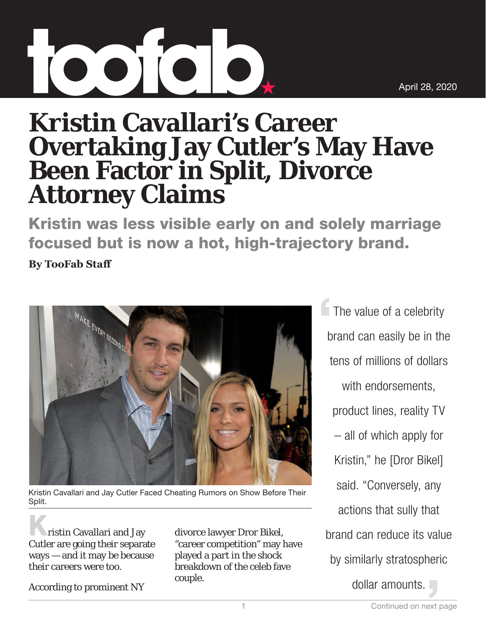## **Kristin Cavallari's Career Overtaking Jay Cutler's May Have Been Factor in Split, Divorce Attorney Claims**

Kristin was less visible early on and solely marriage focused but is now a hot, high-trajectory brand.

**By TooFab Staff**



Kristin Cavallari and Jay Cutler Faced Cheating Rumors on Show Before Their Split.

ristin Cavallari and Jay Cutler are going their separate ways — and it may be because their careers were too.

According to prominent NY

divorce lawyer Dror Bikel, "career competition" may have played a part in the shock breakdown of the celeb fave couple.

The value of a celebrity brand can easily be in the tens of millions of dollars with endorsements, product lines, reality TV – all of which apply for Kristin," he [Dror Bikel] said. "Conversely, any actions that sully that brand can reduce its value by similarly stratospheric dollar amounts.